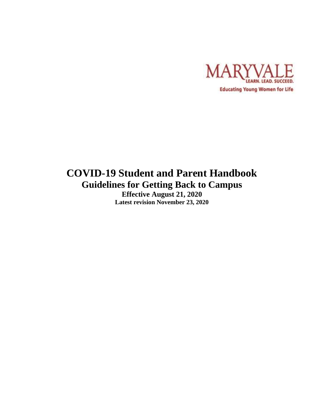

# **COVID-19 Student and Parent Handbook Guidelines for Getting Back to Campus**

**Effective August 21, 2020 Latest revision November 23, 2020**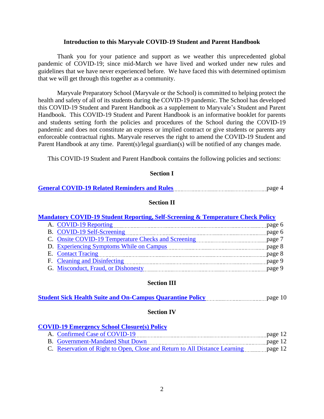#### **Introduction to this Maryvale COVID-19 Student and Parent Handbook**

Thank you for your patience and support as we weather this unprecedented global pandemic of COVID-19; since mid-March we have lived and worked under new rules and guidelines that we have never experienced before. We have faced this with determined optimism that we will get through this together as a community.

Maryvale Preparatory School (Maryvale or the School) is committed to helping protect the health and safety of all of its students during the COVID-19 pandemic. The School has developed this COVID-19 Student and Parent Handbook as a supplement to Maryvale's Student and Parent Handbook. This COVID-19 Student and Parent Handbook is an informative booklet for parents and students setting forth the policies and procedures of the School during the COVID-19 pandemic and does not constitute an express or implied contract or give students or parents any enforceable contractual rights. Maryvale reserves the right to amend the COVID-19 Student and Parent Handbook at any time. Parent(s)/legal guardian(s) will be notified of any changes made.

This COVID-19 Student and Parent Handbook contains the following policies and sections:

#### **Section I**

| <b>General COVID-19 Related Reminders and Rules</b> | page 4 |  |
|-----------------------------------------------------|--------|--|
|                                                     |        |  |

#### **Section II**

#### **Mandatory COVID-19 [Student Reporting, Self-Screening & Temperature Check Policy](#page-5-0)**

| A. COVID-19 Reporting                                                                                                                                                                                                          | page 6 |
|--------------------------------------------------------------------------------------------------------------------------------------------------------------------------------------------------------------------------------|--------|
| B. COVID-19 Self-Screening [100] [100] [100] [100] [100] [100] [100] [100] [100] [100] [100] [100] [100] [100] [100] [100] [100] [100] [100] [100] [100] [100] [100] [100] [100] [100] [100] [100] [100] [100] [100] [100] [10 | page 6 |
| C. Onsite COVID-19 Temperature Checks and Screening                                                                                                                                                                            |        |
| D. Experiencing Symptoms While on Campus                                                                                                                                                                                       | page 8 |
| E. Contact Tracing                                                                                                                                                                                                             | page 8 |
| F. Cleaning and Disinfecting                                                                                                                                                                                                   | page 9 |
| G. Misconduct, Fraud, or Dishonesty                                                                                                                                                                                            | page 9 |

# **Section III**

|  | <b>Student Sick Health Suite and On-Campus Quarantine Policy</b> |  | page 10 |
|--|------------------------------------------------------------------|--|---------|
|--|------------------------------------------------------------------|--|---------|

#### **Section IV**

#### **[COVID-19 Emergency School Closure\(s\) Policy](#page-11-0)**

| A. Confirmed Case of COVID-19           | page 12 |
|-----------------------------------------|---------|
| <b>B.</b> Government-Mandated Shut Down | page 12 |
|                                         |         |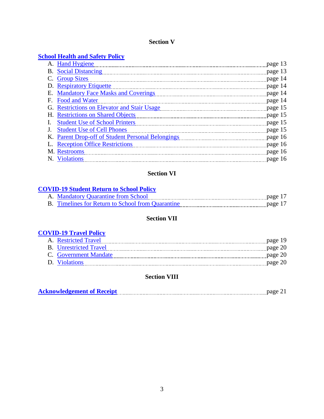# **Section V**

# **School [Health and Safety Policy](#page-12-0)**

| A. Hand Hygiene                                       | page 13 |
|-------------------------------------------------------|---------|
| <b>B.</b> Social Distancing                           | page 13 |
| <b>Group Sizes</b>                                    | page 14 |
| D. Respiratory Etiquette                              | page 14 |
| <b>Mandatory Face Masks and Coverings</b><br>Е.       | page 14 |
| Food and Water<br>F.                                  | page 14 |
| <b>Restrictions on Elevator and Stair Usage</b><br>G. | page 15 |
| H. Restrictions on Shared Objects                     | page 15 |
| <b>Student Use of School Printers</b>                 | page 15 |
| <b>Student Use of Cell Phones</b>                     | page 15 |
| K. Parent Drop-off of Student Personal Belongings     | page 16 |
| <b>Reception Office Restrictions</b>                  | page 16 |
| M. Restrooms                                          | page 16 |
| N. Violations                                         | page 16 |

# **Section VI**

# **[COVID-19 Student Return to School Policy](#page-16-0)**

| A. Mandatory Quarantine from School                      |                       |
|----------------------------------------------------------|-----------------------|
| <b>B.</b> Timelines for Return to School from Quarantine | $\frac{1}{2}$ page 17 |

# **Section VII**

# **[COVID-19 Travel Policy](#page-18-0)**

| A. Restricted Travel          | page 19 |
|-------------------------------|---------|
| <b>B.</b> Unrestricted Travel | page 20 |
| C. Government Mandate         | page 20 |
| D. Violations                 | page 20 |
|                               |         |

# **Section VIII**

| <b>Acknowledgement of Receipt</b> |
|-----------------------------------|
|-----------------------------------|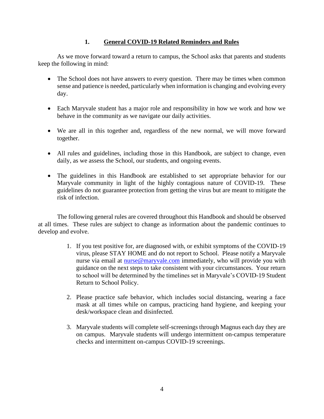# **1. General COVID-19 Related Reminders and Rules**

<span id="page-3-0"></span>As we move forward toward a return to campus, the School asks that parents and students keep the following in mind:

- The School does not have answers to every question. There may be times when common sense and patience is needed, particularly when information is changing and evolving every day.
- Each Maryvale student has a major role and responsibility in how we work and how we behave in the community as we navigate our daily activities.
- We are all in this together and, regardless of the new normal, we will move forward together.
- All rules and guidelines, including those in this Handbook, are subject to change, even daily, as we assess the School, our students, and ongoing events.
- The guidelines in this Handbook are established to set appropriate behavior for our Maryvale community in light of the highly contagious nature of COVID-19. These guidelines do not guarantee protection from getting the virus but are meant to mitigate the risk of infection.

The following general rules are covered throughout this Handbook and should be observed at all times. These rules are subject to change as information about the pandemic continues to develop and evolve.

- 1. If you test positive for, are diagnosed with, or exhibit symptoms of the COVID-19 virus, please STAY HOME and do not report to School. Please notify a Maryvale nurse via email at [nurse@maryvale.com](mailto:nurse@maryvale.com) immediately, who will provide you with guidance on the next steps to take consistent with your circumstances. Your return to school will be determined by the timelines set in Maryvale's COVID-19 Student Return to School Policy.
- 2. Please practice safe behavior, which includes social distancing, wearing a face mask at all times while on campus, practicing hand hygiene, and keeping your desk/workspace clean and disinfected.
- 3. Maryvale students will complete self-screenings through Magnus each day they are on campus. Maryvale students will undergo intermittent on-campus temperature checks and intermittent on-campus COVID-19 screenings.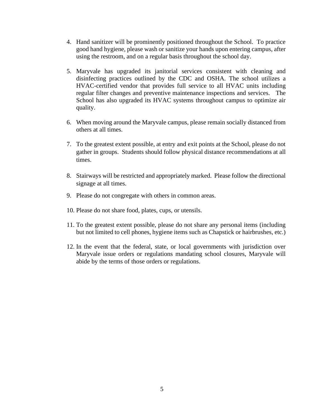- 4. Hand sanitizer will be prominently positioned throughout the School. To practice good hand hygiene, please wash or sanitize your hands upon entering campus, after using the restroom, and on a regular basis throughout the school day.
- 5. Maryvale has upgraded its janitorial services consistent with cleaning and disinfecting practices outlined by the CDC and OSHA. The school utilizes a HVAC-certified vendor that provides full service to all HVAC units including regular filter changes and preventive maintenance inspections and services. The School has also upgraded its HVAC systems throughout campus to optimize air quality.
- 6. When moving around the Maryvale campus, please remain socially distanced from others at all times.
- 7. To the greatest extent possible, at entry and exit points at the School, please do not gather in groups. Students should follow physical distance recommendations at all times.
- 8. Stairways will be restricted and appropriately marked. Please follow the directional signage at all times.
- 9. Please do not congregate with others in common areas.
- 10. Please do not share food, plates, cups, or utensils.
- 11. To the greatest extent possible, please do not share any personal items (including but not limited to cell phones, hygiene items such as Chapstick or hairbrushes, etc.)
- 12. In the event that the federal, state, or local governments with jurisdiction over Maryvale issue orders or regulations mandating school closures, Maryvale will abide by the terms of those orders or regulations.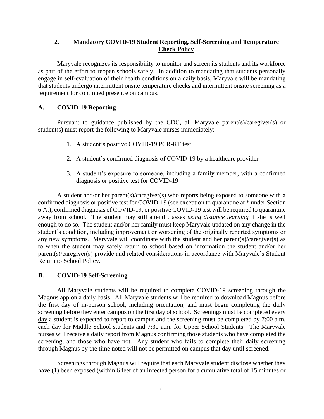# <span id="page-5-0"></span>**2. Mandatory COVID-19 Student Reporting, Self-Screening and Temperature Check Policy**

Maryvale recognizes its responsibility to monitor and screen its students and its workforce as part of the effort to reopen schools safely. In addition to mandating that students personally engage in self-evaluation of their health conditions on a daily basis, Maryvale will be mandating that students undergo intermittent onsite temperature checks and intermittent onsite screening as a requirement for continued presence on campus.

# <span id="page-5-1"></span>**A. COVID-19 Reporting**

Pursuant to guidance published by the CDC, all Maryvale parent(s)/caregiver(s) or student(s) must report the following to Maryvale nurses immediately:

- 1. A student's positive COVID-19 PCR-RT test
- 2. A student's confirmed diagnosis of COVID-19 by a healthcare provider
- 3. A student's exposure to someone, including a family member, with a confirmed diagnosis or positive test for COVID-19

A student and/or her parent(s)/caregiver(s) who reports being exposed to someone with a confirmed diagnosis or positive test for COVID-19 (see exception to quarantine at \* under Section 6.A.); confirmed diagnosis of COVID-19; or positive COVID-19 test will be required to quarantine away from school. The student may still attend classes *using distance learning* if she is well enough to do so. The student and/or her family must keep Maryvale updated on any change in the student's condition, including improvement or worsening of the originally reported symptoms or any new symptoms. Maryvale will coordinate with the student and her parent(s)/caregiver(s) as to when the student may safely return to school based on information the student and/or her parent(s)/caregiver(s) provide and related considerations in accordance with Maryvale's Student Return to School Policy.

# <span id="page-5-2"></span>**B. COVID-19 Self-Screening**

All Maryvale students will be required to complete COVID-19 screening through the Magnus app on a daily basis. All Maryvale students will be required to download Magnus before the first day of in-person school, including orientation, and must begin completing the daily screening before they enter campus on the first day of school. Screenings must be completed every day a student is expected to report to campus and the screening must be completed by 7:00 a.m. each day for Middle School students and 7:30 a.m. for Upper School Students. The Maryvale nurses will receive a daily report from Magnus confirming those students who have completed the screening, and those who have not. Any student who fails to complete their daily screening through Magnus by the time noted will not be permitted on campus that day until screened.

Screenings through Magnus will require that each Maryvale student disclose whether they have (1) been exposed (within 6 feet of an infected person for a cumulative total of 15 minutes or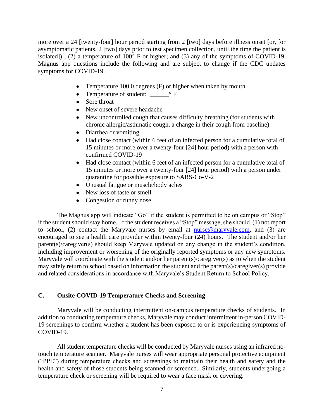more over a 24 [twenty-four] hour period starting from 2 [two] days before illness onset [or, for asymptomatic patients, 2 [two] days prior to test specimen collection, until the time the patient is isolated]); (2) a temperature of  $100^{\circ}$  F or higher; and (3) any of the symptoms of COVID-19. Magnus app questions include the following and are subject to change if the CDC updates symptoms for COVID-19.

- Temperature 100.0 degrees (F) or higher when taken by mouth
- Temperature of student: **\_\_\_\_\_\_**° F
- Sore throat
- New onset of severe headache
- New uncontrolled cough that causes difficulty breathing (for students with chronic allergic/asthmatic cough, a change in their cough from baseline)
- Diarrhea or vomiting
- Had close contact (within 6 feet of an infected person for a cumulative total of 15 minutes or more over a twenty-four [24] hour period) with a person with confirmed COVID-19
- Had close contact (within 6 feet of an infected person for a cumulative total of 15 minutes or more over a twenty-four [24] hour period) with a person under quarantine for possible exposure to SARS-Co-V-2
- Unusual fatigue or muscle/body aches
- New loss of taste or smell
- Congestion or runny nose

The Magnus app will indicate "Go" if the student is permitted to be on campus or "Stop" if the student should stay home. If the student receives a "Stop" message, she should (1) not report to school, (2) contact the Maryvale nurses by email at [nurse@maryvale.com,](mailto:nurse@maryvale.com) and (3) are encouraged to see a health care provider within twenty-four (24) hours. The student and/or her parent(s)/caregiver(s) should keep Maryvale updated on any change in the student's condition, including improvement or worsening of the originally reported symptoms or any new symptoms. Maryvale will coordinate with the student and/or her parent(s)/caregiver(s) as to when the student may safely return to school based on information the student and the parent(s)/caregiver(s) provide and related considerations in accordance with Maryvale's Student Return to School Policy.

## <span id="page-6-0"></span>**C. Onsite COVID-19 Temperature Checks and Screening**

Maryvale will be conducting intermittent on-campus temperature checks of students. In addition to conducting temperature checks, Maryvale may conduct intermittent in-person COVID-19 screenings to confirm whether a student has been exposed to or is experiencing symptoms of COVID-19.

All student temperature checks will be conducted by Maryvale nurses using an infrared notouch temperature scanner. Maryvale nurses will wear appropriate personal protective equipment ("PPE") during temperature checks and screenings to maintain their health and safety and the health and safety of those students being scanned or screened. Similarly, students undergoing a temperature check or screening will be required to wear a face mask or covering.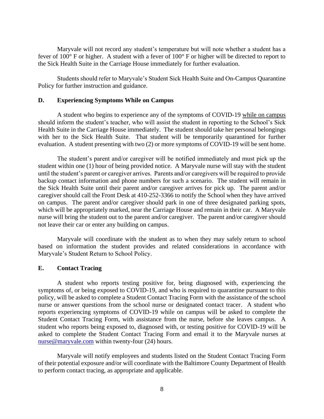Maryvale will not record any student's temperature but will note whether a student has a fever of 100° F or higher. A student with a fever of 100° F or higher will be directed to report to the Sick Health Suite in the Carriage House immediately for further evaluation.

Students should refer to Maryvale's Student Sick Health Suite and On-Campus Quarantine Policy for further instruction and guidance.

### <span id="page-7-0"></span>**D. Experiencing Symptoms While on Campus**

A student who begins to experience any of the symptoms of COVID-19 while on campus should inform the student's teacher, who will assist the student in reporting to the School's Sick Health Suite in the Carriage House immediately. The student should take her personal belongings with her to the Sick Health Suite. That student will be temporarily quarantined for further evaluation. A student presenting with two (2) or more symptoms of COVID-19 will be sent home.

The student's parent and/or caregiver will be notified immediately and must pick up the student within one (1) hour of being provided notice. A Maryvale nurse will stay with the student until the student's parent or caregiver arrives. Parents and/or caregivers will be required to provide backup contact information and phone numbers for such a scenario. The student will remain in the Sick Health Suite until their parent and/or caregiver arrives for pick up. The parent and/or caregiver should call the Front Desk at 410-252-3366 to notify the School when they have arrived on campus. The parent and/or caregiver should park in one of three designated parking spots, which will be appropriately marked, near the Carriage House and remain in their car. A Maryvale nurse will bring the student out to the parent and/or caregiver. The parent and/or caregiver should not leave their car or enter any building on campus.

Maryvale will coordinate with the student as to when they may safely return to school based on information the student provides and related considerations in accordance with Maryvale's Student Return to School Policy.

#### <span id="page-7-1"></span>**E. Contact Tracing**

A student who reports testing positive for, being diagnosed with, experiencing the symptoms of, or being exposed to COVID-19, and who is required to quarantine pursuant to this policy, will be asked to complete a Student Contact Tracing Form with the assistance of the school nurse or answer questions from the school nurse or designated contact tracer. A student who reports experiencing symptoms of COVID-19 while on campus will be asked to complete the Student Contact Tracing Form, with assistance from the nurse, before she leaves campus. A student who reports being exposed to, diagnosed with, or testing positive for COVID-19 will be asked to complete the Student Contact Tracing Form and email it to the Maryvale nurses at [nurse@maryvale.com](mailto:nurse@maryvale.com) within twenty-four (24) hours.

Maryvale will notify employees and students listed on the Student Contact Tracing Form of their potential exposure and/or will coordinate with the Baltimore County Department of Health to perform contact tracing, as appropriate and applicable.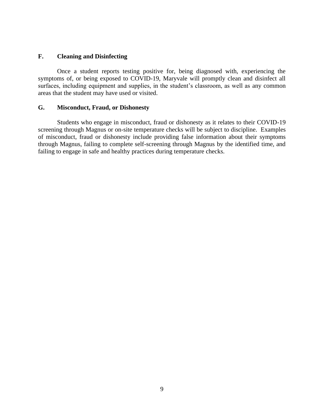# <span id="page-8-0"></span>**F. Cleaning and Disinfecting**

Once a student reports testing positive for, being diagnosed with, experiencing the symptoms of, or being exposed to COVID-19, Maryvale will promptly clean and disinfect all surfaces, including equipment and supplies, in the student's classroom, as well as any common areas that the student may have used or visited.

# <span id="page-8-1"></span>**G. Misconduct, Fraud, or Dishonesty**

Students who engage in misconduct, fraud or dishonesty as it relates to their COVID-19 screening through Magnus or on-site temperature checks will be subject to discipline. Examples of misconduct, fraud or dishonesty include providing false information about their symptoms through Magnus, failing to complete self-screening through Magnus by the identified time, and failing to engage in safe and healthy practices during temperature checks.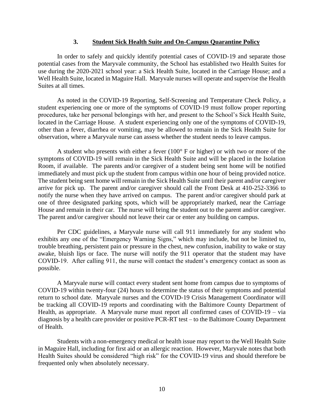## **3. Student Sick Health Suite and On-Campus Quarantine Policy**

<span id="page-9-0"></span>In order to safely and quickly identify potential cases of COVID-19 and separate those potential cases from the Maryvale community, the School has established two Health Suites for use during the 2020-2021 school year: a Sick Health Suite, located in the Carriage House; and a Well Health Suite, located in Maguire Hall. Maryvale nurses will operate and supervise the Health Suites at all times.

As noted in the COVID-19 Reporting, Self-Screening and Temperature Check Policy, a student experiencing one or more of the symptoms of COVID-19 must follow proper reporting procedures, take her personal belongings with her, and present to the School's Sick Health Suite, located in the Carriage House. A student experiencing only one of the symptoms of COVID-19, other than a fever, diarrhea or vomiting, may be allowed to remain in the Sick Health Suite for observation, where a Maryvale nurse can assess whether the student needs to leave campus.

A student who presents with either a fever (100° F or higher) or with two or more of the symptoms of COVID-19 will remain in the Sick Health Suite and will be placed in the Isolation Room, if available. The parents and/or caregiver of a student being sent home will be notified immediately and must pick up the student from campus within one hour of being provided notice. The student being sent home will remain in the Sick Health Suite until their parent and/or caregiver arrive for pick up. The parent and/or caregiver should call the Front Desk at 410-252-3366 to notify the nurse when they have arrived on campus. The parent and/or caregiver should park at one of three designated parking spots, which will be appropriately marked, near the Carriage House and remain in their car. The nurse will bring the student out to the parent and/or caregiver. The parent and/or caregiver should not leave their car or enter any building on campus.

Per CDC guidelines, a Maryvale nurse will call 911 immediately for any student who exhibits any one of the "Emergency Warning Signs," which may include, but not be limited to, trouble breathing, persistent pain or pressure in the chest, new confusion, inability to wake or stay awake, bluish lips or face. The nurse will notify the 911 operator that the student may have COVID-19. After calling 911, the nurse will contact the student's emergency contact as soon as possible.

A Maryvale nurse will contact every student sent home from campus due to symptoms of COVID-19 within twenty-four (24) hours to determine the status of their symptoms and potential return to school date. Maryvale nurses and the COVID-19 Crisis Management Coordinator will be tracking all COVID-19 reports and coordinating with the Baltimore County Department of Health, as appropriate. A Maryvale nurse must report all confirmed cases of COVID-19 – via diagnosis by a health care provider or positive PCR-RT test – to the Baltimore County Department of Health.

Students with a non-emergency medical or health issue may report to the Well Health Suite in Maguire Hall, including for first aid or an allergic reaction. However, Maryvale notes that both Health Suites should be considered "high risk" for the COVID-19 virus and should therefore be frequented only when absolutely necessary.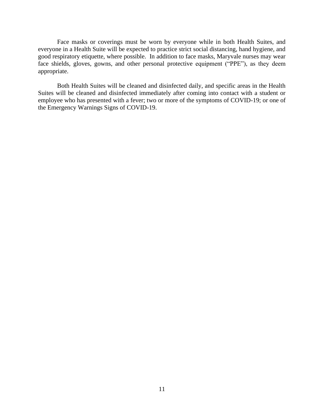Face masks or coverings must be worn by everyone while in both Health Suites, and everyone in a Health Suite will be expected to practice strict social distancing, hand hygiene, and good respiratory etiquette, where possible. In addition to face masks, Maryvale nurses may wear face shields, gloves, gowns, and other personal protective equipment ("PPE"), as they deem appropriate.

Both Health Suites will be cleaned and disinfected daily, and specific areas in the Health Suites will be cleaned and disinfected immediately after coming into contact with a student or employee who has presented with a fever; two or more of the symptoms of COVID-19; or one of the Emergency Warnings Signs of COVID-19.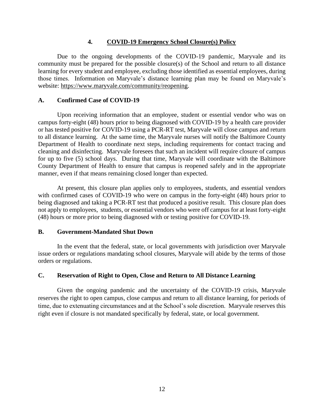## **4. COVID-19 Emergency School Closure(s) Policy**

<span id="page-11-0"></span>Due to the ongoing developments of the COVID-19 pandemic, Maryvale and its community must be prepared for the possible closure(s) of the School and return to all distance learning for every student and employee, excluding those identified as essential employees, during those times. Information on Maryvale's distance learning plan may be found on Maryvale's website: [https://www.maryvale.com/community/reopening.](https://www.maryvale.com/community/reopening)

# <span id="page-11-1"></span>**A. Confirmed Case of COVID-19**

Upon receiving information that an employee, student or essential vendor who was on campus forty-eight (48) hours prior to being diagnosed with COVID-19 by a health care provider or has tested positive for COVID-19 using a PCR-RT test, Maryvale will close campus and return to all distance learning. At the same time, the Maryvale nurses will notify the Baltimore County Department of Health to coordinate next steps, including requirements for contact tracing and cleaning and disinfecting. Maryvale foresees that such an incident will require closure of campus for up to five (5) school days. During that time, Maryvale will coordinate with the Baltimore County Department of Health to ensure that campus is reopened safely and in the appropriate manner, even if that means remaining closed longer than expected.

At present, this closure plan applies only to employees, students, and essential vendors with confirmed cases of COVID-19 who were on campus in the forty-eight (48) hours prior to being diagnosed and taking a PCR-RT test that produced a positive result. This closure plan does not apply to employees, students, or essential vendors who were off campus for at least forty-eight (48) hours or more prior to being diagnosed with or testing positive for COVID-19.

# <span id="page-11-2"></span>**B. Government-Mandated Shut Down**

In the event that the federal, state, or local governments with jurisdiction over Maryvale issue orders or regulations mandating school closures, Maryvale will abide by the terms of those orders or regulations.

# <span id="page-11-3"></span>**C. Reservation of Right to Open, Close and Return to All Distance Learning**

Given the ongoing pandemic and the uncertainty of the COVID-19 crisis, Maryvale reserves the right to open campus, close campus and return to all distance learning, for periods of time, due to extenuating circumstances and at the School's sole discretion. Maryvale reserves this right even if closure is not mandated specifically by federal, state, or local government.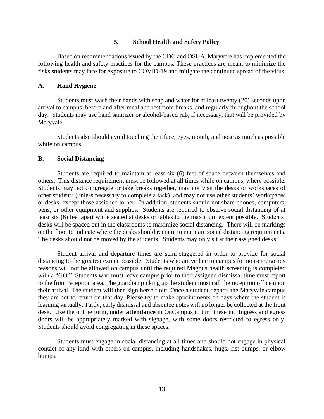### **5. School Health and Safety Policy**

<span id="page-12-0"></span>Based on recommendations issued by the CDC and OSHA, Maryvale has implemented the following health and safety practices for the campus. These practices are meant to minimize the risks students may face for exposure to COVID-19 and mitigate the continued spread of the virus.

### <span id="page-12-1"></span>**A. Hand Hygiene**

Students must wash their hands with soap and water for at least twenty (20) seconds upon arrival to campus, before and after meal and restroom breaks, and regularly throughout the school day. Students may use hand sanitizer or alcohol-based rub, if necessary, that will be provided by Maryvale.

Students also should avoid touching their face, eyes, mouth, and nose as much as possible while on campus.

### <span id="page-12-2"></span>**B. Social Distancing**

Students are required to maintain at least six (6) feet of space between themselves and others. This distance requirement must be followed at all times while on campus, where possible. Students may not congregate or take breaks together, may not visit the desks or workspaces of other students (unless necessary to complete a task), and may not use other students' workspaces or desks, except those assigned to her. In addition, students should not share phones, computers, pens, or other equipment and supplies. Students are required to observe social distancing of at least six (6) feet apart while seated at desks or tables to the maximum extent possible. Students' desks will be spaced out in the classrooms to maximize social distancing. There will be markings on the floor to indicate where the desks should remain, to maintain social distancing requirements. The desks should not be moved by the students. Students may only sit at their assigned desks.

Student arrival and departure times are semi-staggered in order to provide for social distancing to the greatest extent possible. Students who arrive late to campus for non-emergency reasons will not be allowed on campus until the required Magnus health screening is completed with a "GO." Students who must leave campus prior to their assigned dismissal time must report to the front reception area. The guardian picking up the student must call the reception office upon their arrival. The student will then sign herself out. Once a student departs the Maryvale campus they are not to return on that day. Please try to make appointments on days where the student is learning virtually. Tardy, early dismissal and absentee notes will no longer be collected at the front desk. Use the online form, under **attendance** in OnCampus to turn these in. Ingress and egress doors will be appropriately marked with signage, with some doors restricted to egress only. Students should avoid congregating in these spaces.

Students must engage in social distancing at all times and should not engage in physical contact of any kind with others on campus, including handshakes, hugs, fist bumps, or elbow bumps.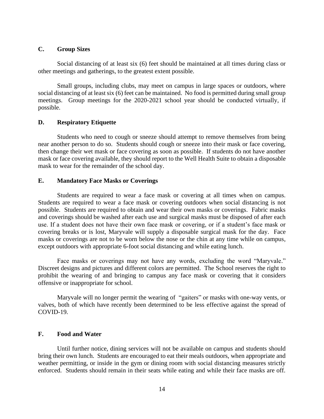#### <span id="page-13-0"></span>**C. Group Sizes**

Social distancing of at least six (6) feet should be maintained at all times during class or other meetings and gatherings, to the greatest extent possible.

Small groups, including clubs, may meet on campus in large spaces or outdoors, where social distancing of at least six (6) feet can be maintained. No food is permitted during small group meetings. Group meetings for the 2020-2021 school year should be conducted virtually, if possible.

## <span id="page-13-1"></span>**D. Respiratory Etiquette**

Students who need to cough or sneeze should attempt to remove themselves from being near another person to do so. Students should cough or sneeze into their mask or face covering, then change their wet mask or face covering as soon as possible. If students do not have another mask or face covering available, they should report to the Well Health Suite to obtain a disposable mask to wear for the remainder of the school day.

## <span id="page-13-2"></span>**E. Mandatory Face Masks or Coverings**

Students are required to wear a face mask or covering at all times when on campus. Students are required to wear a face mask or covering outdoors when social distancing is not possible. Students are required to obtain and wear their own masks or coverings. Fabric masks and coverings should be washed after each use and surgical masks must be disposed of after each use. If a student does not have their own face mask or covering, or if a student's face mask or covering breaks or is lost, Maryvale will supply a disposable surgical mask for the day. Face masks or coverings are not to be worn below the nose or the chin at any time while on campus, except outdoors with appropriate 6-foot social distancing and while eating lunch.

Face masks or coverings may not have any words, excluding the word "Maryvale." Discreet designs and pictures and different colors are permitted. The School reserves the right to prohibit the wearing of and bringing to campus any face mask or covering that it considers offensive or inappropriate for school.

Maryvale will no longer permit the wearing of "gaiters" or masks with one-way vents, or valves, both of which have recently been determined to be less effective against the spread of COVID-19.

#### <span id="page-13-3"></span>**F. Food and Water**

Until further notice, dining services will not be available on campus and students should bring their own lunch. Students are encouraged to eat their meals outdoors, when appropriate and weather permitting, or inside in the gym or dining room with social distancing measures strictly enforced. Students should remain in their seats while eating and while their face masks are off.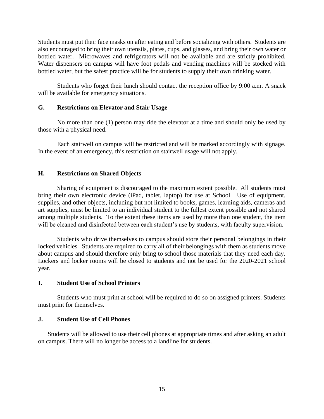Students must put their face masks on after eating and before socializing with others. Students are also encouraged to bring their own utensils, plates, cups, and glasses, and bring their own water or bottled water. Microwaves and refrigerators will not be available and are strictly prohibited. Water dispensers on campus will have foot pedals and vending machines will be stocked with bottled water, but the safest practice will be for students to supply their own drinking water.

Students who forget their lunch should contact the reception office by 9:00 a.m. A snack will be available for emergency situations.

## <span id="page-14-0"></span>**G. Restrictions on Elevator and Stair Usage**

No more than one (1) person may ride the elevator at a time and should only be used by those with a physical need.

Each stairwell on campus will be restricted and will be marked accordingly with signage. In the event of an emergency, this restriction on stairwell usage will not apply.

## <span id="page-14-1"></span>**H. Restrictions on Shared Objects**

Sharing of equipment is discouraged to the maximum extent possible. All students must bring their own electronic device (iPad, tablet, laptop) for use at School. Use of equipment, supplies, and other objects, including but not limited to books, games, learning aids, cameras and art supplies, must be limited to an individual student to the fullest extent possible and not shared among multiple students. To the extent these items are used by more than one student, the item will be cleaned and disinfected between each student's use by students, with faculty supervision.

Students who drive themselves to campus should store their personal belongings in their locked vehicles. Students are required to carry all of their belongings with them as students move about campus and should therefore only bring to school those materials that they need each day. Lockers and locker rooms will be closed to students and not be used for the 2020-2021 school year.

#### <span id="page-14-2"></span>**I. Student Use of School Printers**

Students who must print at school will be required to do so on assigned printers. Students must print for themselves.

#### <span id="page-14-3"></span>**J. Student Use of Cell Phones**

Students will be allowed to use their cell phones at appropriate times and after asking an adult on campus. There will no longer be access to a landline for students.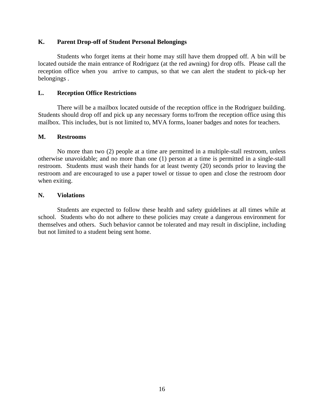# <span id="page-15-0"></span>**K. Parent Drop-off of Student Personal Belongings**

Students who forget items at their home may still have them dropped off. A bin will be located outside the main entrance of Rodriguez (at the red awning) for drop offs. Please call the reception office when you arrive to campus, so that we can alert the student to pick-up her belongings .

## <span id="page-15-1"></span>**L. Reception Office Restrictions**

There will be a mailbox located outside of the reception office in the Rodriguez building. Students should drop off and pick up any necessary forms to/from the reception office using this mailbox. This includes, but is not limited to, MVA forms, loaner badges and notes for teachers.

## <span id="page-15-2"></span>**M. Restrooms**

No more than two (2) people at a time are permitted in a multiple-stall restroom, unless otherwise unavoidable; and no more than one (1) person at a time is permitted in a single-stall restroom. Students must wash their hands for at least twenty (20) seconds prior to leaving the restroom and are encouraged to use a paper towel or tissue to open and close the restroom door when exiting.

### <span id="page-15-3"></span>**N. Violations**

Students are expected to follow these health and safety guidelines at all times while at school. Students who do not adhere to these policies may create a dangerous environment for themselves and others. Such behavior cannot be tolerated and may result in discipline, including but not limited to a student being sent home.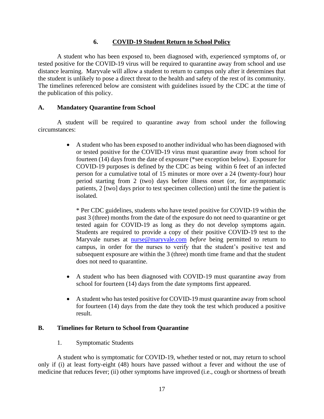# **6. COVID-19 Student Return to School Policy**

<span id="page-16-0"></span>A student who has been exposed to, been diagnosed with, experienced symptoms of, or tested positive for the COVID-19 virus will be required to quarantine away from school and use distance learning. Maryvale will allow a student to return to campus only after it determines that the student is unlikely to pose a direct threat to the health and safety of the rest of its community. The timelines referenced below are consistent with guidelines issued by the CDC at the time of the publication of this policy.

# <span id="page-16-1"></span>**A. Mandatory Quarantine from School**

A student will be required to quarantine away from school under the following circumstances:

> • A student who has been exposed to another individual who has been diagnosed with or tested positive for the COVID-19 virus must quarantine away from school for fourteen (14) days from the date of exposure (\*see exception below). Exposure for COVID-19 purposes is defined by the CDC as being within 6 feet of an infected person for a cumulative total of 15 minutes or more over a 24 (twenty-four) hour period starting from 2 (two) days before illness onset (or, for asymptomatic patients, 2 [two] days prior to test specimen collection) until the time the patient is isolated.

\* Per CDC guidelines, students who have tested positive for COVID-19 within the past 3 (three) months from the date of the exposure do not need to quarantine or get tested again for COVID-19 as long as they do not develop symptoms again. Students are required to provide a copy of their positive COVID-19 test to the Maryvale nurses at [nurse@maryvale.com](mailto:nurse@maryvale.com) *before* being permitted to return to campus, in order for the nurses to verify that the student's positive test and subsequent exposure are within the 3 (three) month time frame and that the student does not need to quarantine.

- A student who has been diagnosed with COVID-19 must quarantine away from school for fourteen (14) days from the date symptoms first appeared.
- A student who has tested positive for COVID-19 must quarantine away from school for fourteen (14) days from the date they took the test which produced a positive result.

# <span id="page-16-2"></span>**B. Timelines for Return to School from Quarantine**

# 1. Symptomatic Students

A student who is symptomatic for COVID-19, whether tested or not, may return to school only if (i) at least forty-eight (48) hours have passed without a fever and without the use of medicine that reduces fever; (ii) other symptoms have improved (i.e., cough or shortness of breath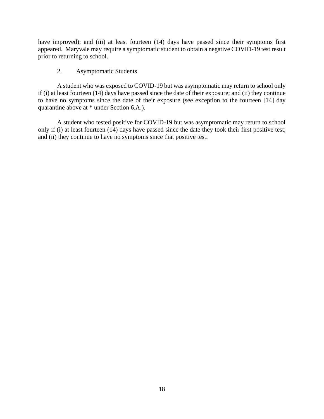have improved); and (iii) at least fourteen (14) days have passed since their symptoms first appeared. Maryvale may require a symptomatic student to obtain a negative COVID-19 test result prior to returning to school.

# 2. Asymptomatic Students

A student who was exposed to COVID-19 but was asymptomatic may return to school only if (i) at least fourteen (14) days have passed since the date of their exposure; and (ii) they continue to have no symptoms since the date of their exposure (see exception to the fourteen [14] day quarantine above at \* under Section 6.A.).

A student who tested positive for COVID-19 but was asymptomatic may return to school only if (i) at least fourteen  $(14)$  days have passed since the date they took their first positive test; and (ii) they continue to have no symptoms since that positive test.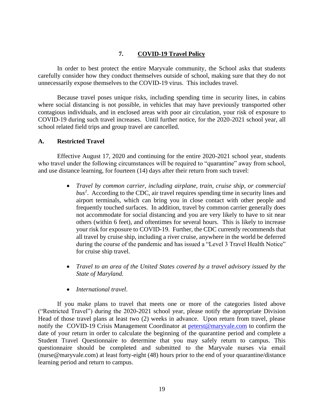# **7. COVID-19 Travel Policy**

<span id="page-18-0"></span>In order to best protect the entire Maryvale community, the School asks that students carefully consider how they conduct themselves outside of school, making sure that they do not unnecessarily expose themselves to the COVID-19 virus. This includes travel.

Because travel poses unique risks, including spending time in security lines, in cabins where social distancing is not possible, in vehicles that may have previously transported other contagious individuals, and in enclosed areas with poor air circulation, your risk of exposure to COVID-19 during such travel increases. Until further notice, for the 2020-2021 school year, all school related field trips and group travel are cancelled.

# <span id="page-18-1"></span>**A. Restricted Travel**

Effective August 17, 2020 and continuing for the entire 2020-2021 school year, students who travel under the following circumstances will be required to "quarantine" away from school, and use distance learning, for fourteen (14) days after their return from such travel:

- *Travel by common carrier, including airplane, train, cruise ship, or commercial bus<sup>1</sup>* . According to the CDC, air travel requires spending time in security lines and airport terminals, which can bring you in close contact with other people and frequently touched surfaces. In addition, travel by common carrier generally does not accommodate for social distancing and you are very likely to have to sit near others (within 6 feet), and oftentimes for several hours. This is likely to increase your risk for exposure to COVID-19. Further, the CDC currently recommends that all travel by cruise ship, including a river cruise, anywhere in the world be deferred during the course of the pandemic and has issued a "Level 3 Travel Health Notice" for cruise ship travel.
- *Travel to an area of the United States covered by a travel advisory issued by the State of Maryland.*
- *International travel*.

If you make plans to travel that meets one or more of the categories listed above ("Restricted Travel") during the 2020-2021 school year, please notify the appropriate Division Head of those travel plans at least two (2) weeks in advance. Upon return from travel, please notify the COVID-19 Crisis Management Coordinator at [peterst@maryvale.com](mailto:peterst@maryvale.com) to confirm the date of your return in order to calculate the beginning of the quarantine period and complete a Student Travel Questionnaire to determine that you may safely return to campus. This questionnaire should be completed and submitted to the Maryvale nurses via email (nurse@maryvale.com) at least forty-eight (48) hours prior to the end of your quarantine/distance learning period and return to campus.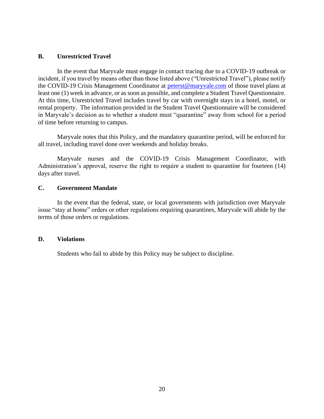# <span id="page-19-0"></span>**B. Unrestricted Travel**

In the event that Maryvale must engage in contact tracing due to a COVID-19 outbreak or incident, if you travel by means other than those listed above ("Unrestricted Travel"), please notify the COVID-19 Crisis Management Coordinator at [peterst@maryvale.com](mailto:peterst@maryvale.com) of those travel plans at least one (1) week in advance, or as soon as possible, and complete a Student Travel Questionnaire. At this time, Unrestricted Travel includes travel by car with overnight stays in a hotel, motel, or rental property. The information provided in the Student Travel Questionnaire will be considered in Maryvale's decision as to whether a student must "quarantine" away from school for a period of time before returning to campus.

Maryvale notes that this Policy, and the mandatory quarantine period, will be enforced for all travel, including travel done over weekends and holiday breaks.

<span id="page-19-1"></span>Maryvale nurses and the COVID-19 Crisis Management Coordinator, with Administration's approval, reserve the right to require a student to quarantine for fourteen (14) days after travel.

### **C. Government Mandate**

In the event that the federal, state, or local governments with jurisdiction over Maryvale issue "stay at home" orders or other regulations requiring quarantines, Maryvale will abide by the terms of those orders or regulations.

#### <span id="page-19-2"></span>**D. Violations**

Students who fail to abide by this Policy may be subject to discipline.